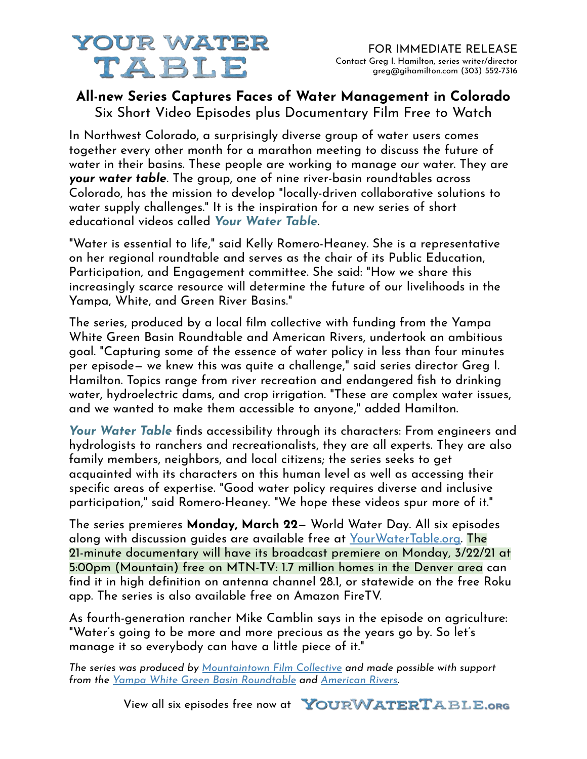# **YOUR WATER** TABLE

### **All-new Series Captures Faces of Water Management in Colorado** Six Short Video Episodes plus Documentary Film Free to Watch

In Northwest Colorado, a surprisingly diverse group of water users comes together every other month for a marathon meeting to discuss the future of water in their basins. These people are working to manage *our* water. They are *your water table*. The group, one of nine river-basin roundtables across Colorado, has the mission to develop "locally-driven collaborative solutions to water supply challenges." It is the inspiration for a new series of short educational videos called *Your Water Table.*

"Water is essential to life," said Kelly Romero-Heaney. She is a representative on her regional roundtable and serves as the chair of its Public Education, Participation, and Engagement committee. She said: "How we share this increasingly scarce resource will determine the future of our livelihoods in the Yampa, White, and Green River Basins."

The series, produced by a local film collective with funding from the Yampa White Green Basin Roundtable and American Rivers, undertook an ambitious goal. "Capturing some of the essence of water policy in less than four minutes per episode— we knew this was quite a challenge," said series director Greg I. Hamilton. Topics range from river recreation and endangered fish to drinking water, hydroelectric dams, and crop irrigation. "These are complex water issues, and we wanted to make them accessible to anyone," added Hamilton.

*Your Water Table* finds accessibility through its characters: From engineers and hydrologists to ranchers and recreationalists, they are all experts. They are also family members, neighbors, and local citizens; the series seeks to get acquainted with its characters on this human level as well as accessing their specific areas of expertise. "Good water policy requires diverse and inclusive participation," said Romero-Heaney. "We hope these videos spur more of it."

The series premieres **Monday, March 22**— World Water Day. All six episodes along with discussion guides are available free at [YourWaterTable.org.](http://yourwatertable.org) The 21-minute documentary will have its broadcast premiere on Monday, 3/22/21 at 5:00pm (Mountain) free on MTN-TV: 1.7 million homes in the Denver area can find it in high definition on antenna channel 28.1, or statewide on the free Roku app. The series is also available free on Amazon FireTV.

As fourth-generation rancher Mike Camblin says in the episode on agriculture: "Water's going to be more and more precious as the years go by. So let's manage it so everybody can have a little piece of it."

*The series was produced by [Mountaintown Film Collective](https://www.facebook.com/MFCSteamboat) and made possible with support from the [Yampa White Green Basin Roundtable](https://yampawhitegreen.com/) and [American Rivers.](https://www.americanrivers.org/)*

View all six episodes free now at **YOURWATERTABLE.org**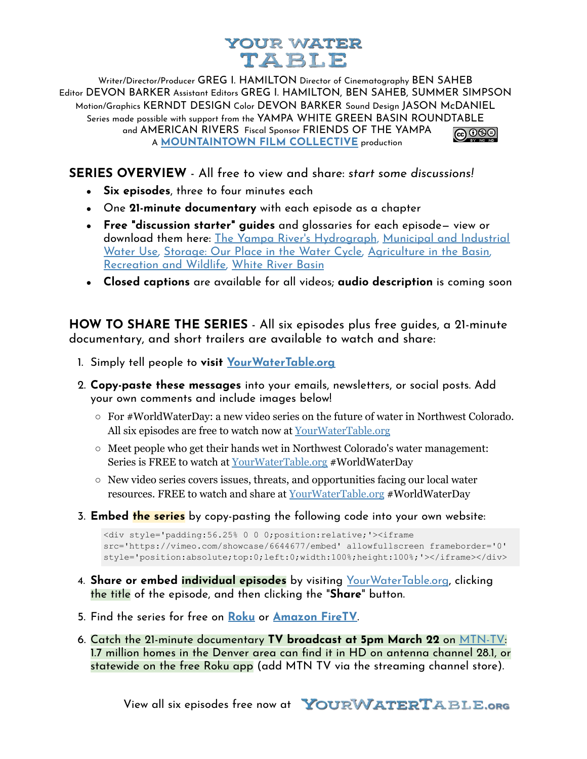## YOUR WATER TABLE

Writer/Director/Producer GREG I. HAMILTON Director of Cinematography BEN SAHEB Editor DEVON BARKER Assistant Editors GREG I. HAMILTON, BEN SAHEB, SUMMER SIMPSON Motion/Graphics KERNDT DESIGN Color DEVON BARKER Sound Design JASON McDANIEL Series made possible with support from the YAMPA WHITE GREEN BASIN ROUNDTABLE and AMERICAN RIVERS Fiscal Sponsor FRIENDS OF THE YAMPA @ 0ூ A **[MOUNTAINTOWN FILM COLLECTIVE](https://www.facebook.com/MFCSteamboat)** production

**SERIES OVERVIEW** - All free to view and share: *start some discussions!*

- **Six episodes**, three to four minutes each
- One **21-minute documentary** with each episode as a chapter
- **Free "discussion starter" guides** and glossaries for each episode— view or download them here: [The Yampa River's Hydrograph](https://gihamilton.com/discuss/hydrograph.pdf), [Municipal and Industrial](https://gihamilton.com/discuss/municipal-industrial.pdf) [Water Use,](https://gihamilton.com/discuss/municipal-industrial.pdf) [Storage: Our Place in the Water Cycle,](https://gihamilton.com/discuss/storage.pdf) [Agriculture in the Basin,](https://gihamilton.com/discuss/agriculture.pdf) [Recreation and Wildlife,](https://gihamilton.com/discuss/recreation-wildlife.pdf) [White River Basin](https://gihamilton.com/discuss/white-river.pdf)
- **Closed captions** are available for all videos; **audio description** is coming soon

**HOW TO SHARE THE SERIES** - All six episodes plus free guides, a 21-minute documentary, and short trailers are available to watch and share:

- 1. Simply tell people to **visit [YourWaterTable.org](http://yourwatertable.org)**
- 2. **Copy-paste these messages** into your emails, newsletters, or social posts. Add your own comments and include images below!
	- $\circ$  For #WorldWaterDay: a new video series on the future of water in Northwest Colorado. All six episodes are free to watch now at [YourWaterTable.org](http://yourwatertable.org)
	- $\circ$  Meet people who get their hands wet in Northwest Colorado's water management: Series is FREE to watch at [YourWaterTable.org](http://yourwatertable.org) #WorldWaterDay
	- New video series covers issues, threats, and opportunities facing our local water resources. FREE to watch and share at [YourWaterTable.org](http://yourwatertable.org) #WorldWaterDay
- 3. **Embed the series** by copy-pasting the following code into your own website:

```
<div style='padding:56.25% 0 0 0;position:relative;'><iframe
src='https://vimeo.com/showcase/6644677/embed' allowfullscreen frameborder='0'
style='position:absolute;top:0;left:0;width:100%;height:100%;'></iframe></div>
```
- 4. **Share or embed individual episodes** by visiting [YourWaterTable.org](http://yourwatertable.org), clicking the title of the episode, and then clicking the "**Share**" button.
- 5. Find the series for free on **[Roku](https://vimeo.com/showcase/6644677/feed/roku/264fd77457)** or **[Amazon FireTV](https://vimeo.com/showcase/6644677/feed/amazon.xml/264fd77457)**.
- 6. Catch the 21-minute documentary **TV broadcast at 5pm March 22** on [MTN-TV:](https://mtn-tv.com/) 1.7 million homes in the Denver area can find it in HD on antenna channel 28.1, or statewide on the free Roku app (add MTN TV via the streaming channel store).

View all six episodes free now at **YOURWATERTABLE.org**